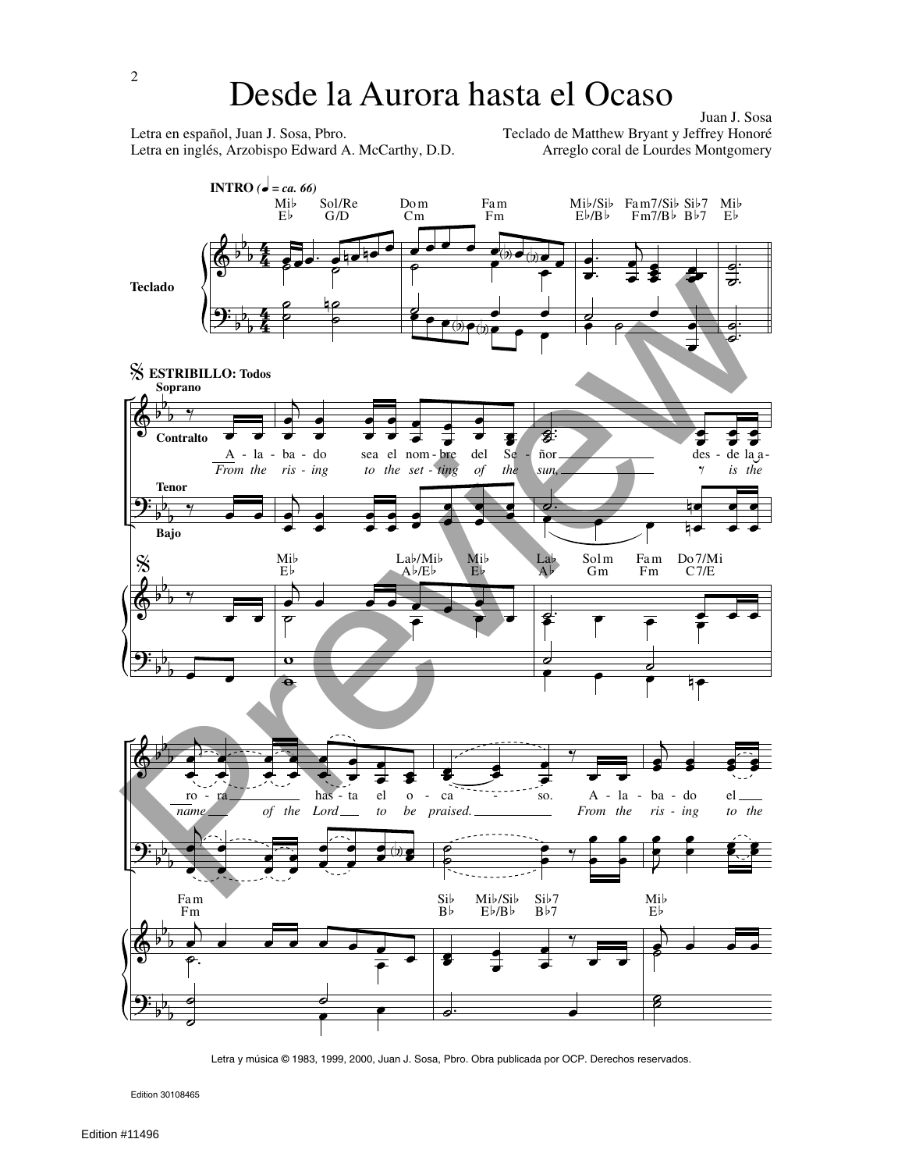## Desde la Aurora hasta el Ocaso

Letra en español, Juan J. Sosa, Pbro. Letra en inglés, Arzobispo Edward A. McCarthy, D.D.

Juan J. Sosa Teclado de Matthew Bryant y Jeffrey Honoré Arreglo coral de Lourdes Montgomery



Letra y música @ 1983, 1999, 2000, Juan J. Sosa, Pbro. Obra publicada por OCP. Derechos reservados.

Edition 30108465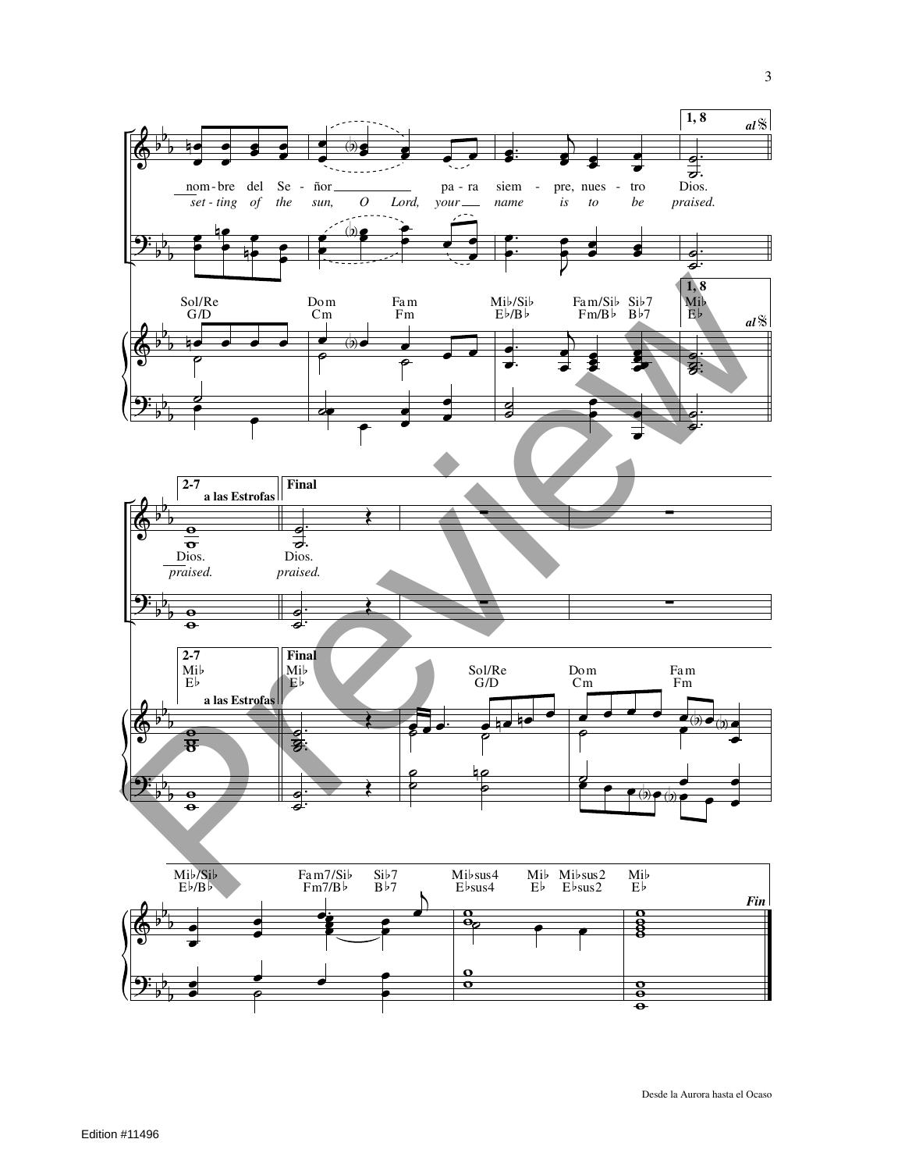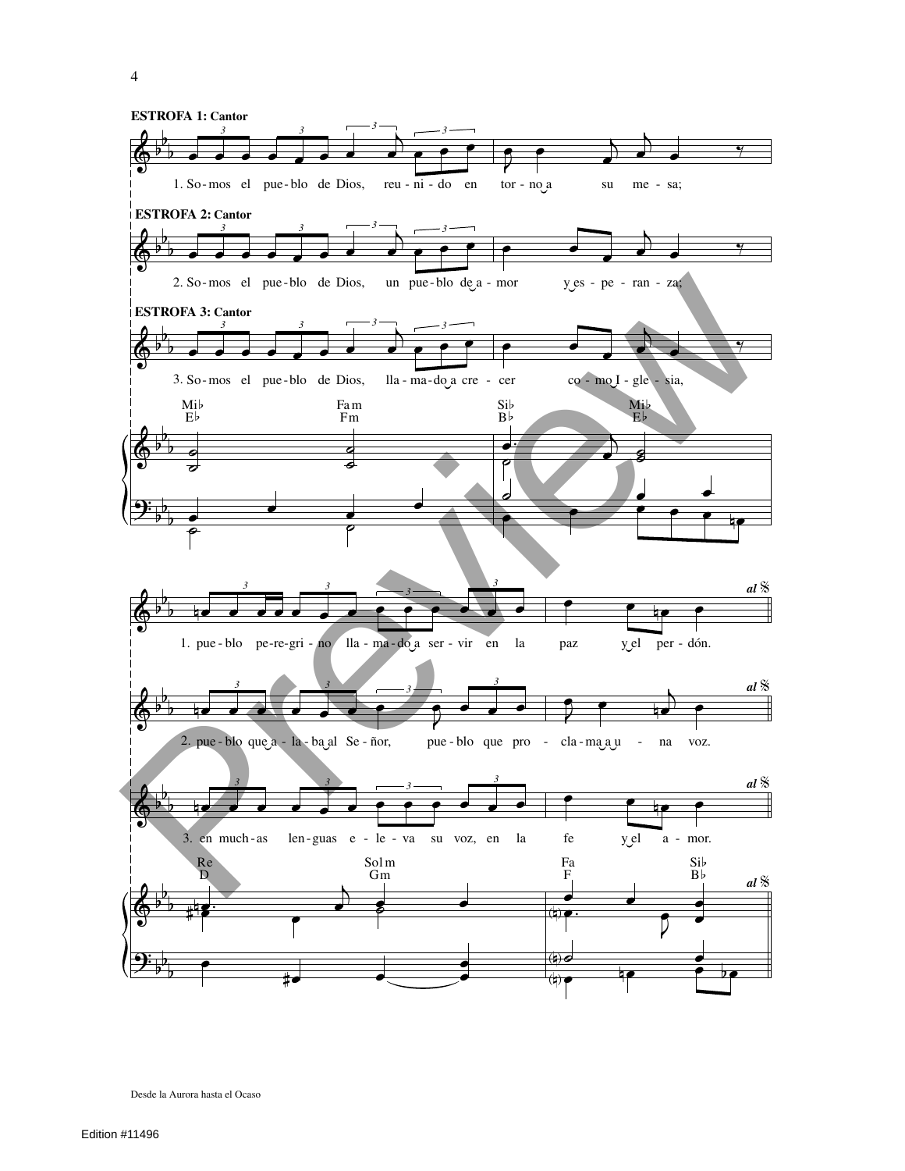4



Desde la Aurora hasta el Ocaso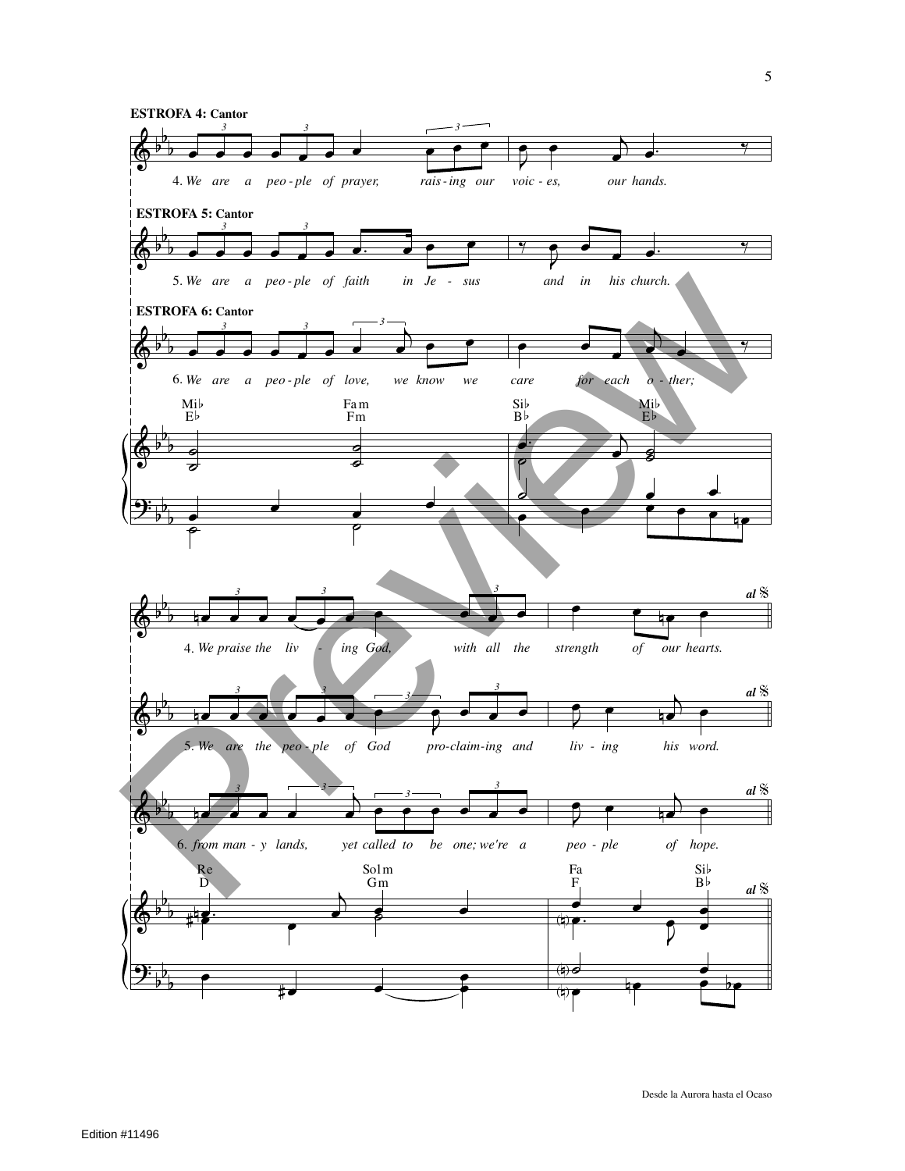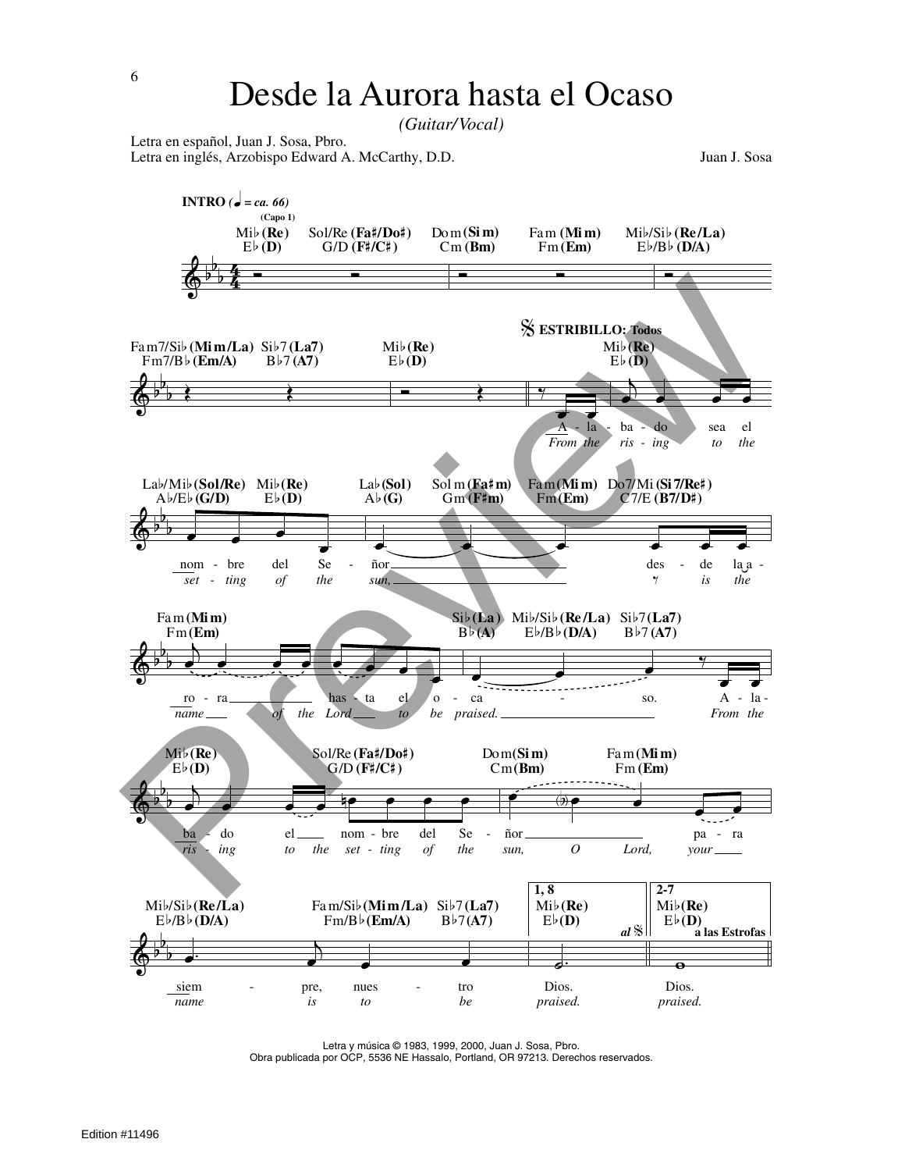## Desde la Aurora hasta el Ocaso

(Guitar/Vocal)

Letra en español, Juan J. Sosa, Pbro. Letra en inglés, Arzobispo Edward A. McCarthy, D.D.

Juan J. Sosa



Letra y música @ 1983, 1999, 2000, Juan J. Sosa, Pbro.

Obra publicada por OCP, 5536 NE Hassalo, Portland, OR 97213. Derechos reservados.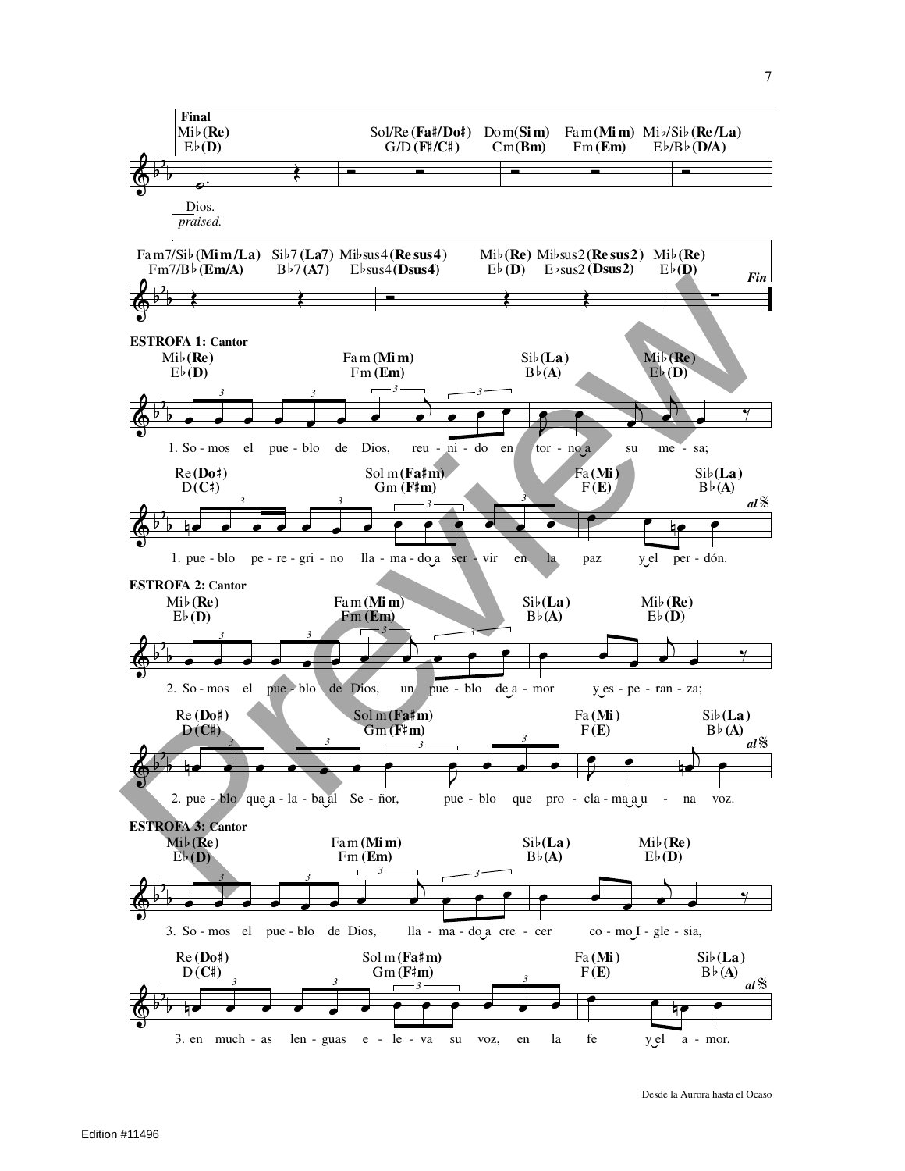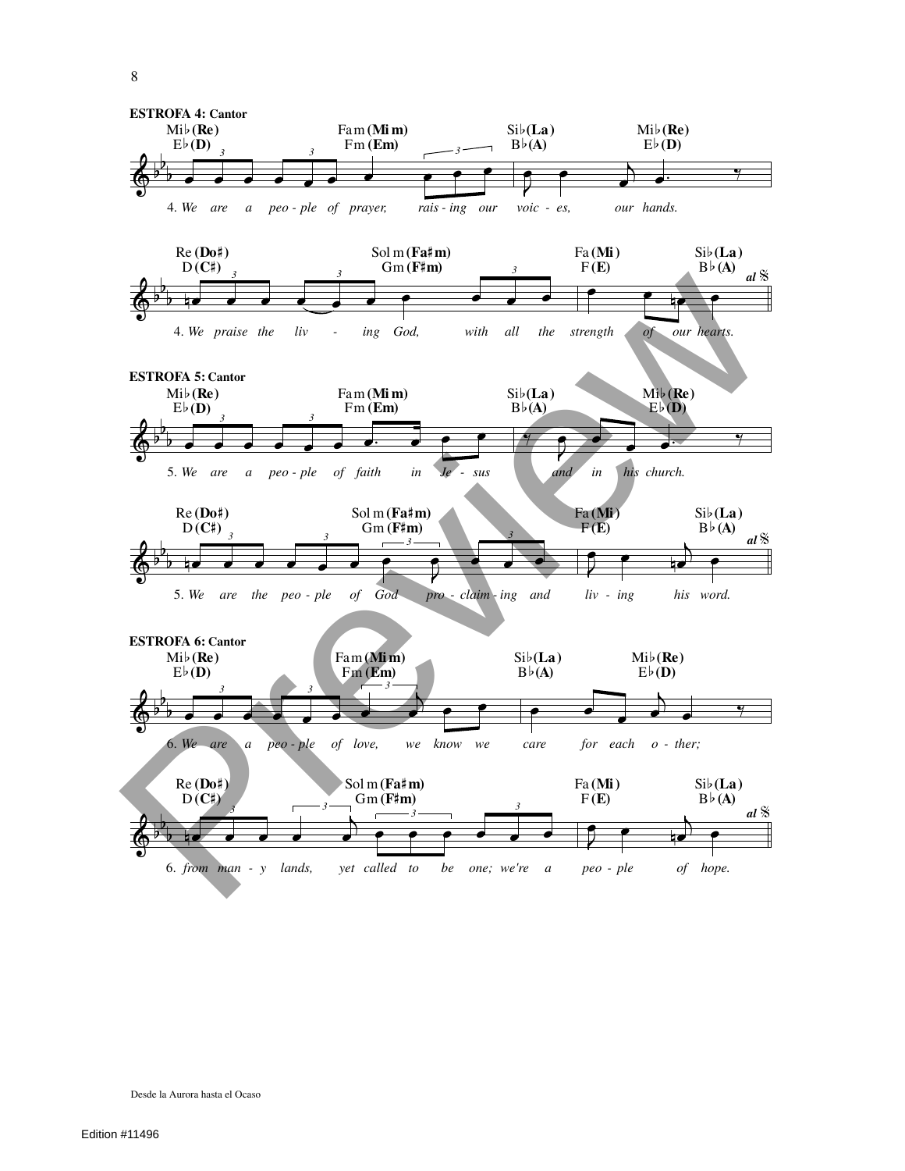

Desde la Aurora hasta el Ocaso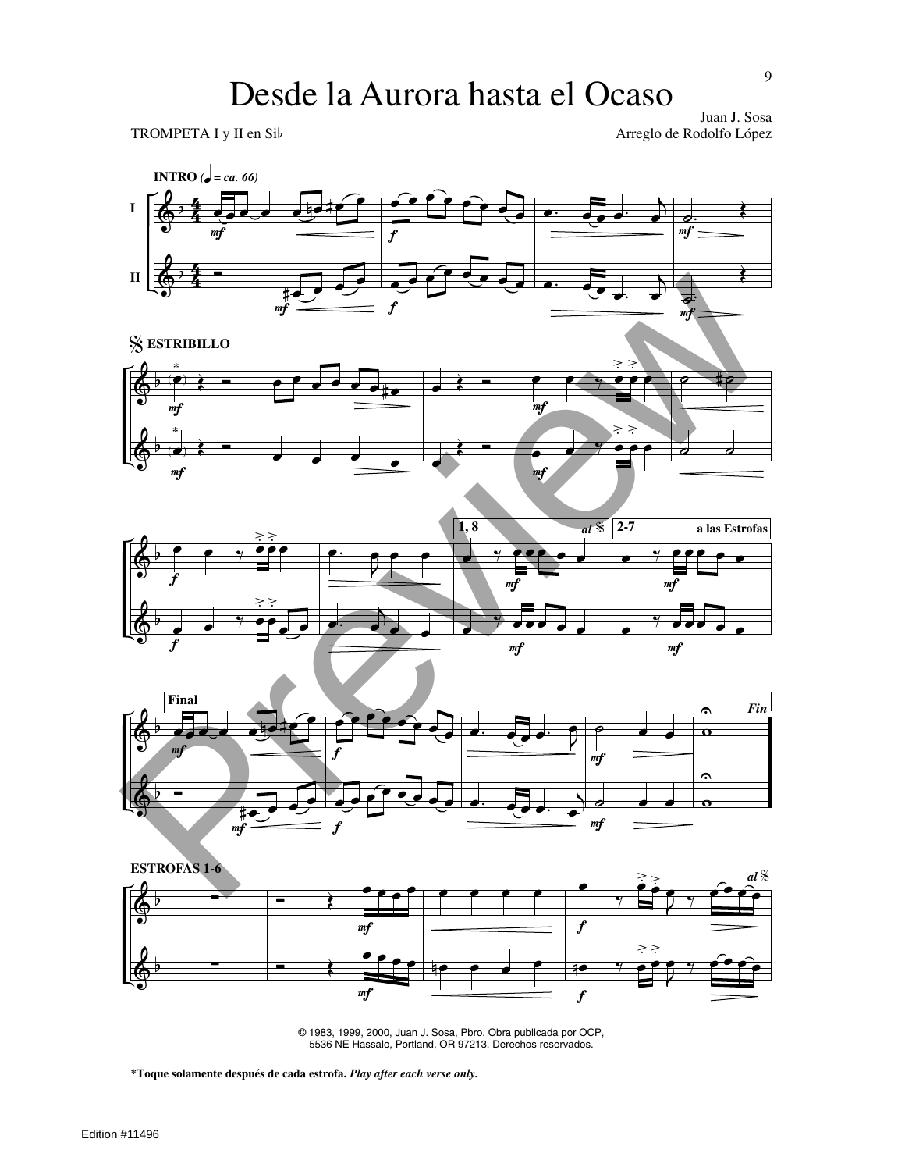Juan J. Sosa TROMPETA I y II en Sib Arreglo de Rodolfo López









© 1983, 1999, 2000, Juan J. Sosa, Pbro. Obra publicada por OCP, 5536 NE Hassalo, Portland, OR 97213. Derechos reservados.

**\*Toque solamente después de cada estrofa.** *Play after each verse only.*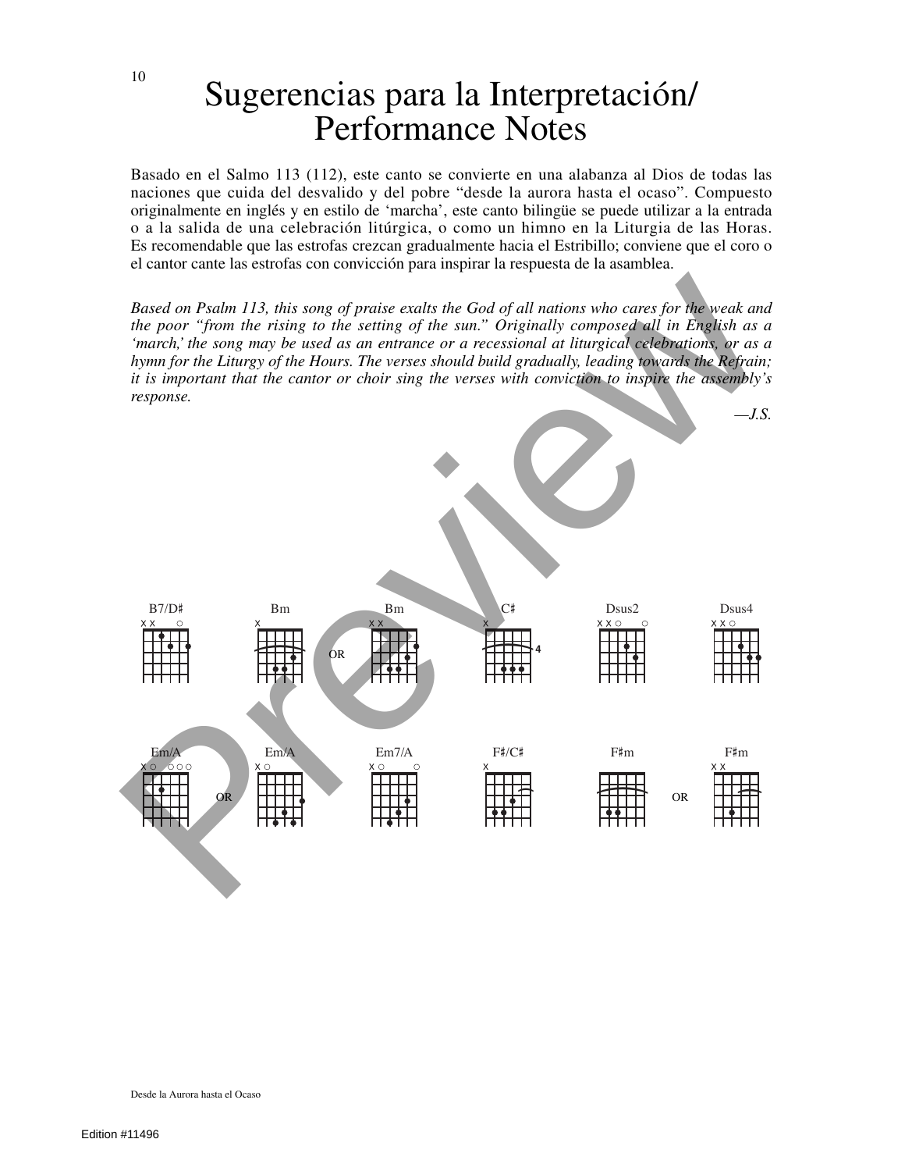## Sugerencias para la Interpretación/ Performance Notes

Basado en el Salmo 113 (112), este canto se convierte en una alabanza al Dios de todas las naciones que cuida del desvalido y del pobre "desde la aurora hasta el ocaso". Compuesto originalmente en inglés y en estilo de 'marcha', este canto bilingüe se puede utilizar a la entrada o a la salida de una celebración litúrgica, o como un himno en la Liturgia de las Horas. Es recomendable que las estrofas crezcan gradualmente hacia el Estribillo; conviene que el coro o el cantor cante las estrofas con convicción para inspirar la respuesta de la asamblea.

Based on Psalm 113, this song of praise exalts the God of all nations who cares for the weak and *the poor "from the rising to the setting of the sun." Originally composed all in English as a 'march,' the song may be used as an entrance or a recessional at liturgical celebrations, or as a hymn for the Liturgy of the Hours. The verses should build gradually, leading towards the Refrain; it is important that the cantor or choir sing the verses with conviction to inspire the assembly's response.*



Desde la Aurora hasta el Ocaso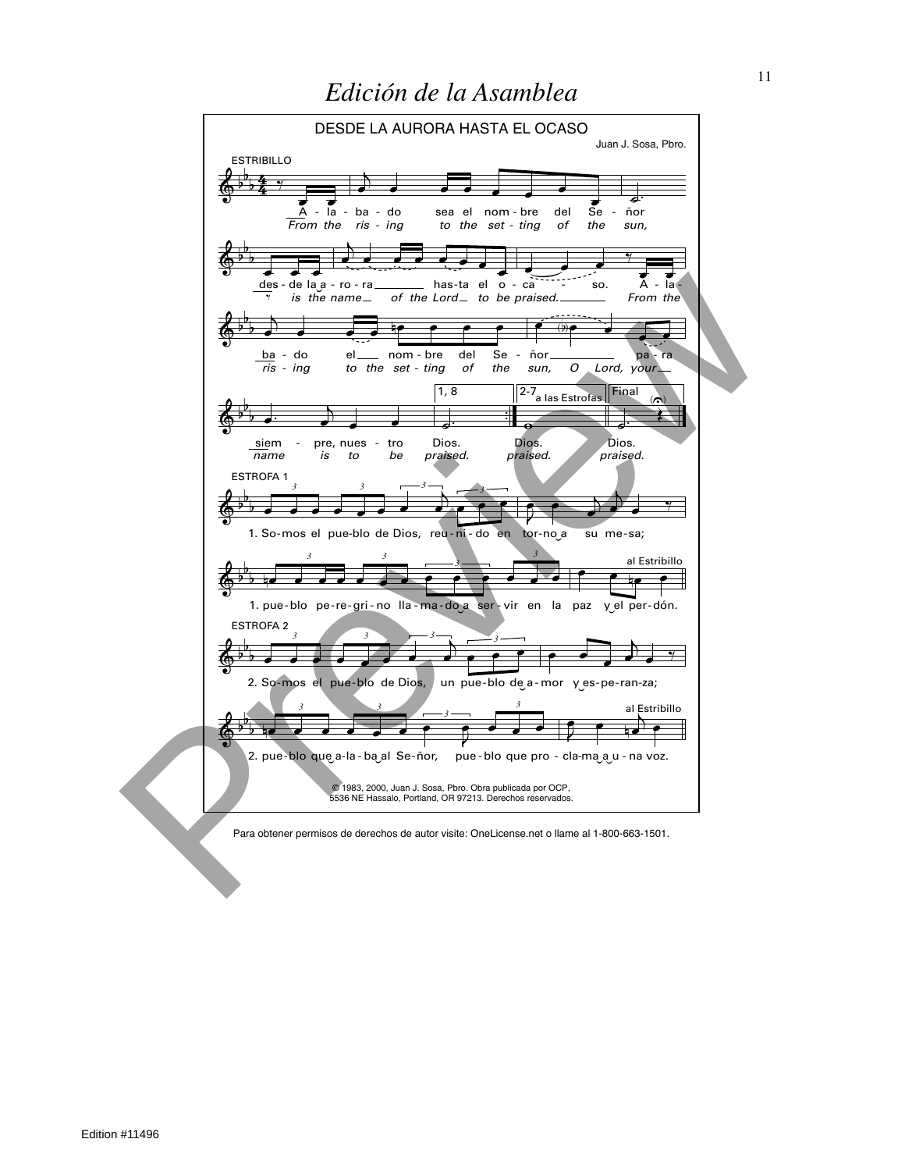